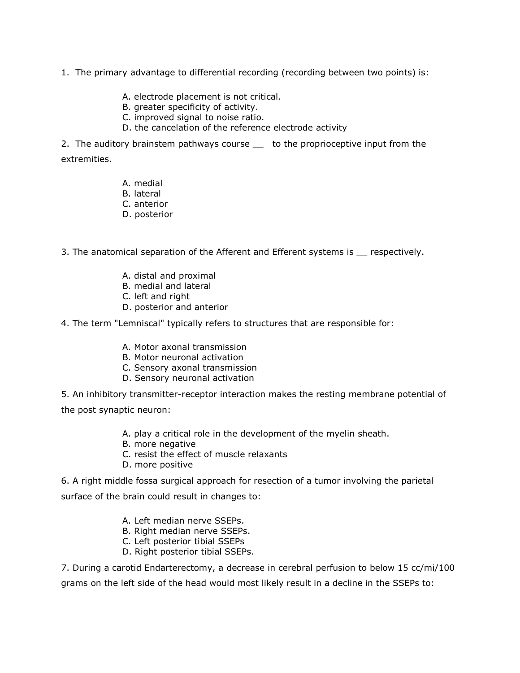- 1. The primary advantage to differential recording (recording between two points) is:
	- A. electrode placement is not critical.
	- B. greater specificity of activity.
	- C. improved signal to noise ratio.
	- D. the cancelation of the reference electrode activity

2. The auditory brainstem pathways course \_ to the proprioceptive input from the extremities.

- A. medial
- B. lateral
- C. anterior
- D. posterior

3. The anatomical separation of the Afferent and Efferent systems is \_\_ respectively.

- A. distal and proximal
- B. medial and lateral
- C. left and right
- D. posterior and anterior

4. The term "Lemniscal" typically refers to structures that are responsible for:

- A. Motor axonal transmission
- B. Motor neuronal activation
- C. Sensory axonal transmission
- D. Sensory neuronal activation

5. An inhibitory transmitter-receptor interaction makes the resting membrane potential of

the post synaptic neuron:

- A. play a critical role in the development of the myelin sheath.
- B. more negative
- C. resist the effect of muscle relaxants
- D. more positive

6. A right middle fossa surgical approach for resection of a tumor involving the parietal

surface of the brain could result in changes to:

- A. Left median nerve SSEPs.
- B. Right median nerve SSEPs.
- C. Left posterior tibial SSEPs
- D. Right posterior tibial SSEPs.

7. During a carotid Endarterectomy, a decrease in cerebral perfusion to below 15 cc/mi/100 grams on the left side of the head would most likely result in a decline in the SSEPs to: